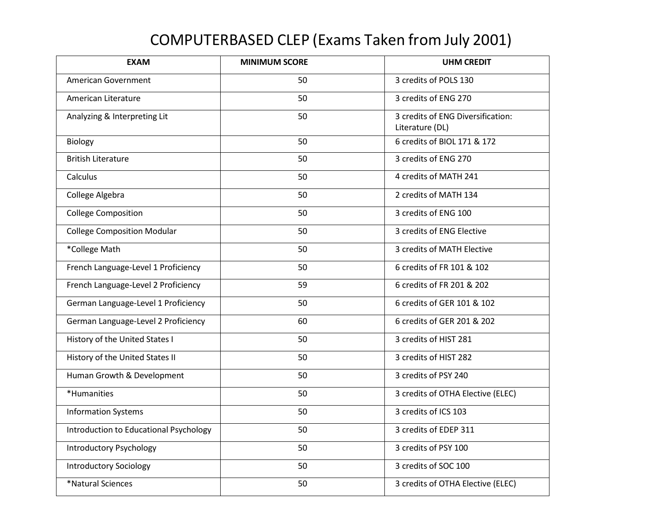## COMPUTERBASED CLEP (Exams Taken from July 2001)

| <b>EXAM</b>                            | <b>MINIMUM SCORE</b> | <b>UHM CREDIT</b>                                    |
|----------------------------------------|----------------------|------------------------------------------------------|
| American Government                    | 50                   | 3 credits of POLS 130                                |
| American Literature                    | 50                   | 3 credits of ENG 270                                 |
| Analyzing & Interpreting Lit           | 50                   | 3 credits of ENG Diversification:<br>Literature (DL) |
| Biology                                | 50                   | 6 credits of BIOL 171 & 172                          |
| <b>British Literature</b>              | 50                   | 3 credits of ENG 270                                 |
| Calculus                               | 50                   | 4 credits of MATH 241                                |
| College Algebra                        | 50                   | 2 credits of MATH 134                                |
| <b>College Composition</b>             | 50                   | 3 credits of ENG 100                                 |
| <b>College Composition Modular</b>     | 50                   | 3 credits of ENG Elective                            |
| *College Math                          | 50                   | 3 credits of MATH Elective                           |
| French Language-Level 1 Proficiency    | 50                   | 6 credits of FR 101 & 102                            |
| French Language-Level 2 Proficiency    | 59                   | 6 credits of FR 201 & 202                            |
| German Language-Level 1 Proficiency    | 50                   | 6 credits of GER 101 & 102                           |
| German Language-Level 2 Proficiency    | 60                   | 6 credits of GER 201 & 202                           |
| History of the United States I         | 50                   | 3 credits of HIST 281                                |
| History of the United States II        | 50                   | 3 credits of HIST 282                                |
| Human Growth & Development             | 50                   | 3 credits of PSY 240                                 |
| *Humanities                            | 50                   | 3 credits of OTHA Elective (ELEC)                    |
| <b>Information Systems</b>             | 50                   | 3 credits of ICS 103                                 |
| Introduction to Educational Psychology | 50                   | 3 credits of EDEP 311                                |
| <b>Introductory Psychology</b>         | 50                   | 3 credits of PSY 100                                 |
| <b>Introductory Sociology</b>          | 50                   | 3 credits of SOC 100                                 |
| *Natural Sciences                      | 50                   | 3 credits of OTHA Elective (ELEC)                    |